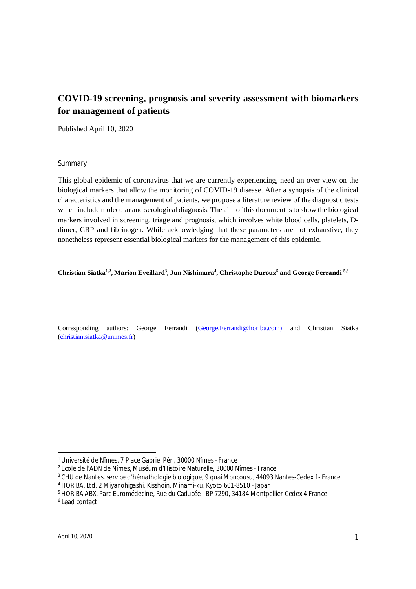# **COVID-19 screening, prognosis and severity assessment with biomarkers for management of patients**

Published April 10, 2020

### Summary

This global epidemic of coronavirus that we are currently experiencing, need an over view on the biological markers that allow the monitoring of COVID-19 disease. After a synopsis of the clinical characteristics and the management of patients, we propose a literature review of the diagnostic tests which include molecular and serological diagnosis. The aim of this document is to show the biological markers involved in screening, triage and prognosis, which involves white blood cells, platelets, Ddimer, CRP and fibrinogen. While acknowledging that these parameters are not exhaustive, they nonetheless represent essential biological markers for the management of this epidemic.

### Christian Siatka<sup>1,2</sup>, Marion Eveillard<sup>3</sup>, Jun Nishimura<sup>4</sup>, Christophe Duroux<sup>5</sup> and George Ferrandi <sup>5,6</sup>

Corresponding authors: George Ferrandi (George.Ferrandi@horiba.com) and Christian Siatka (christian.siatka@unimes.fr)

-

<sup>1</sup> Université de Nîmes, 7 Place Gabriel Péri, 30000 Nîmes - France

<sup>2</sup> Ecole de l'ADN de Nîmes, Muséum d'Histoire Naturelle, 30000 Nîmes - France

<sup>3</sup> CHU de Nantes, service d'hémathologie biologique, 9 quai Moncousu, 44093 Nantes-Cedex 1- France

<sup>4</sup> HORIBA, Ltd. 2 Miyanohigashi, Kisshoin, Minami-ku, Kyoto 601-8510 - Japan

<sup>5</sup> HORIBA ABX, Parc Euromédecine, Rue du Caducée - BP 7290, 34184 Montpellier-Cedex 4 France

<sup>6</sup> Lead contact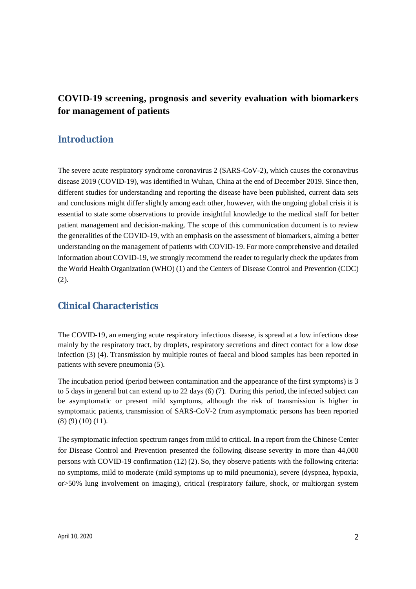# **COVID-19 screening, prognosis and severity evaluation with biomarkers for management of patients**

# **Introduction**

The severe acute respiratory syndrome coronavirus 2 (SARS-CoV-2), which causes the coronavirus disease 2019 (COVID-19), was identified in Wuhan, China at the end of December 2019. Since then, different studies for understanding and reporting the disease have been published, current data sets and conclusions might differ slightly among each other, however, with the ongoing global crisis it is essential to state some observations to provide insightful knowledge to the medical staff for better patient management and decision-making. The scope of this communication document is to review the generalities of the COVID-19, with an emphasis on the assessment of biomarkers, aiming a better understanding on the management of patients with COVID-19. For more comprehensive and detailed information about COVID-19, we strongly recommend the reader to regularly check the updates from the World Health Organization (WHO) (1) and the Centers of Disease Control and Prevention (CDC) (2).

# **Clinical Characteristics**

The COVID-19, an emerging acute respiratory infectious disease, is spread at a low infectious dose mainly by the respiratory tract, by droplets, respiratory secretions and direct contact for a low dose infection (3) (4). Transmission by multiple routes of faecal and blood samples has been reported in patients with severe pneumonia (5).

The incubation period (period between contamination and the appearance of the first symptoms) is 3 to 5 days in general but can extend up to 22 days (6) (7). During this period, the infected subject can be asymptomatic or present mild symptoms, although the risk of transmission is higher in symptomatic patients, transmission of SARS-CoV-2 from asymptomatic persons has been reported (8) (9) (10) (11).

The symptomatic infection spectrum ranges from mild to critical. In a report from the Chinese Center for Disease Control and Prevention presented the following disease severity in more than 44,000 persons with COVID-19 confirmation (12) (2). So, they observe patients with the following criteria: no symptoms, mild to moderate (mild symptoms up to mild pneumonia), severe (dyspnea, hypoxia, or>50% lung involvement on imaging), critical (respiratory failure, shock, or multiorgan system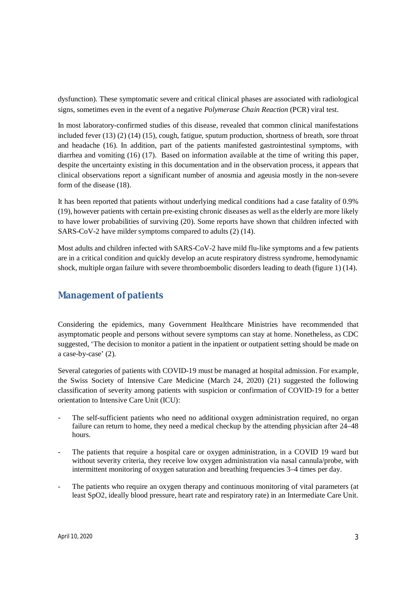dysfunction). These symptomatic severe and critical clinical phases are associated with radiological signs, sometimes even in the event of a negative *Polymerase Chain Reaction* (PCR) viral test.

In most laboratory-confirmed studies of this disease, revealed that common clinical manifestations included fever (13) (2) (14) (15), cough, fatigue, sputum production, shortness of breath, sore throat and headache (16). In addition, part of the patients manifested gastrointestinal symptoms, with diarrhea and vomiting (16) (17). Based on information available at the time of writing this paper, despite the uncertainty existing in this documentation and in the observation process, it appears that clinical observations report a significant number of anosmia and ageusia mostly in the non-severe form of the disease (18).

It has been reported that patients without underlying medical conditions had a case fatality of 0.9% (19), however patients with certain pre-existing chronic diseases as well as the elderly are more likely to have lower probabilities of surviving (20). Some reports have shown that children infected with SARS-CoV-2 have milder symptoms compared to adults (2) (14).

Most adults and children infected with SARS-CoV-2 have mild flu-like symptoms and a few patients are in a critical condition and quickly develop an acute respiratory distress syndrome, hemodynamic shock, multiple organ failure with severe thromboembolic disorders leading to death (figure 1) (14).

# **Management of patients**

Considering the epidemics, many Government Healthcare Ministries have recommended that asymptomatic people and persons without severe symptoms can stay at home. Nonetheless, as CDC suggested, 'The decision to monitor a patient in the inpatient or outpatient setting should be made on a case-by-case' (2).

Several categories of patients with COVID-19 must be managed at hospital admission. For example, the Swiss Society of Intensive Care Medicine (March 24, 2020) (21) suggested the following classification of severity among patients with suspicion or confirmation of COVID-19 for a better orientation to Intensive Care Unit (ICU):

- The self-sufficient patients who need no additional oxygen administration required, no organ failure can return to home, they need a medical checkup by the attending physician after 24–48 hours.
- The patients that require a hospital care or oxygen administration, in a COVID 19 ward but without severity criteria, they receive low oxygen administration via nasal cannula/probe, with intermittent monitoring of oxygen saturation and breathing frequencies 3–4 times per day.
- The patients who require an oxygen therapy and continuous monitoring of vital parameters (at least SpO2, ideally blood pressure, heart rate and respiratory rate) in an Intermediate Care Unit.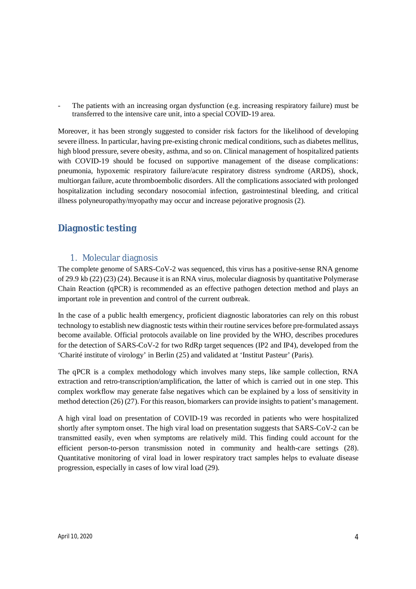- The patients with an increasing organ dysfunction (e.g. increasing respiratory failure) must be transferred to the intensive care unit, into a special COVID-19 area.

Moreover, it has been strongly suggested to consider risk factors for the likelihood of developing severe illness. In particular, having pre-existing chronic medical conditions, such as diabetes mellitus, high blood pressure, severe obesity, asthma, and so on. Clinical management of hospitalized patients with COVID-19 should be focused on supportive management of the disease complications: pneumonia, hypoxemic respiratory failure/acute respiratory distress syndrome (ARDS), shock, multiorgan failure, acute thromboembolic disorders. All the complications associated with prolonged hospitalization including secondary nosocomial infection, gastrointestinal bleeding, and critical illness polyneuropathy/myopathy may occur and increase pejorative prognosis (2).

# **Diagnostic testing**

## 1. Molecular diagnosis

The complete genome of SARS-CoV-2 was sequenced, this virus has a positive-sense RNA genome of 29.9 kb (22) (23) (24). Because it is an RNA virus, molecular diagnosis by quantitative Polymerase Chain Reaction (qPCR) is recommended as an effective pathogen detection method and plays an important role in prevention and control of the current outbreak.

In the case of a public health emergency, proficient diagnostic laboratories can rely on this robust technology to establish new diagnostic tests within their routine services before pre-formulated assays become available. Official protocols available on line provided by the WHO, describes procedures for the detection of SARS-CoV-2 for two RdRp target sequences (IP2 and IP4), developed from the 'Charité institute of virology' in Berlin (25) and validated at 'Institut Pasteur' (Paris).

The qPCR is a complex methodology which involves many steps, like sample collection, RNA extraction and retro-transcription/amplification, the latter of which is carried out in one step. This complex workflow may generate false negatives which can be explained by a loss of sensitivity in method detection (26) (27). For this reason, biomarkers can provide insights to patient's management.

A high viral load on presentation of COVID-19 was recorded in patients who were hospitalized shortly after symptom onset. The high viral load on presentation suggests that SARS-CoV-2 can be transmitted easily, even when symptoms are relatively mild. This finding could account for the efficient person-to-person transmission noted in community and health-care settings (28). Quantitative monitoring of viral load in lower respiratory tract samples helps to evaluate disease progression, especially in cases of low viral load (29).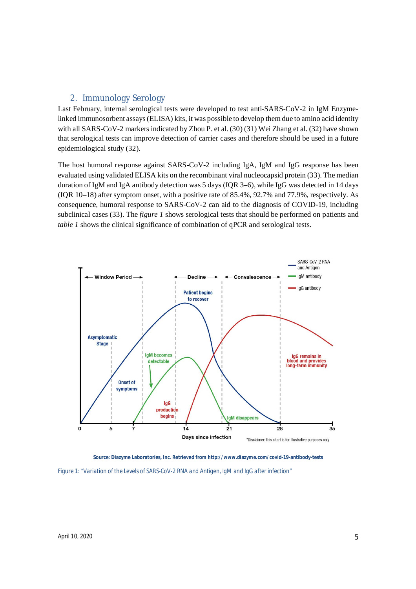### 2. Immunology Serology

Last February, internal serological tests were developed to test anti-SARS-CoV-2 in IgM Enzymelinked immunosorbent assays (ELISA) kits, it was possible to develop them due to amino acid identity with all SARS-CoV-2 markers indicated by Zhou P. et al. (30) (31) Wei Zhang et al. (32) have shown that serological tests can improve detection of carrier cases and therefore should be used in a future epidemiological study (32).

The host humoral response against SARS-CoV-2 including IgA, IgM and IgG response has been evaluated using validated ELISA kits on the recombinant viral nucleocapsid protein (33). The median duration of IgM and IgA antibody detection was 5 days (IQR 3–6), while IgG was detected in 14 days (IQR 10–18) after symptom onset, with a positive rate of 85.4%, 92.7% and 77.9%, respectively. As consequence, humoral response to SARS-CoV-2 can aid to the diagnosis of COVID-19, including subclinical cases (33). The *figure 1* shows serological tests that should be performed on patients and *table 1* shows the clinical significance of combination of qPCR and serological tests.



**Source: Diazyme Laboratories, Inc. Retrieved from http://www.diazyme.com/covid-19-antibody-tests** *Figure 1: "Variation of the Levels of SARS-CoV-2 RNA and Antigen, IgM and IgG after infection"*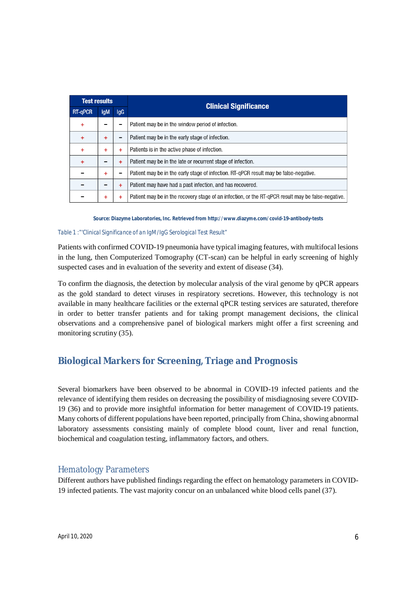| <b>Test results</b> |            |            |                                                                                                    |
|---------------------|------------|------------|----------------------------------------------------------------------------------------------------|
| <b>RT-aPCR</b>      | <b>IgM</b> | <b>IgG</b> | <b>Clinical Significance</b>                                                                       |
| ÷                   |            |            | Patient may be in the window period of infection.                                                  |
| +                   | ÷          | -          | Patient may be in the early stage of infection.                                                    |
| ÷                   | ÷          | ÷          | Patients is in the active phase of infection.                                                      |
| ÷                   |            | ÷          | Patient may be in the late or recurrent stage of infection.                                        |
|                     | ÷          | -          | Patient may be in the early stage of infection. RT-gPCR result may be false-negative.              |
|                     |            | ÷          | Patient may have had a past infection, and has recovered.                                          |
|                     | ÷          | ÷          | Patient may be in the recovery stage of an infection, or the RT-qPCR result may be false-negative. |

**Source: Diazyme Laboratories, Inc. Retrieved from http://www.diazyme.com/covid-19-antibody-tests**

#### *Table 1 :"'Clinical Significance of an IgM/IgG Serological Test Result"*

Patients with confirmed COVID-19 pneumonia have typical imaging features, with multifocal lesions in the lung, then Computerized Tomography (CT-scan) can be helpful in early screening of highly suspected cases and in evaluation of the severity and extent of disease (34).

To confirm the diagnosis, the detection by molecular analysis of the viral genome by qPCR appears as the gold standard to detect viruses in respiratory secretions. However, this technology is not available in many healthcare facilities or the external qPCR testing services are saturated, therefore in order to better transfer patients and for taking prompt management decisions, the clinical observations and a comprehensive panel of biological markers might offer a first screening and monitoring scrutiny (35).

# **Biological Markers for Screening, Triage and Prognosis**

Several biomarkers have been observed to be abnormal in COVID-19 infected patients and the relevance of identifying them resides on decreasing the possibility of misdiagnosing severe COVID-19 (36) and to provide more insightful information for better management of COVID-19 patients. Many cohorts of different populations have been reported, principally from China, showing abnormal laboratory assessments consisting mainly of complete blood count, liver and renal function, biochemical and coagulation testing, inflammatory factors, and others.

## Hematology Parameters

Different authors have published findings regarding the effect on hematology parameters in COVID-19 infected patients. The vast majority concur on an unbalanced white blood cells panel (37).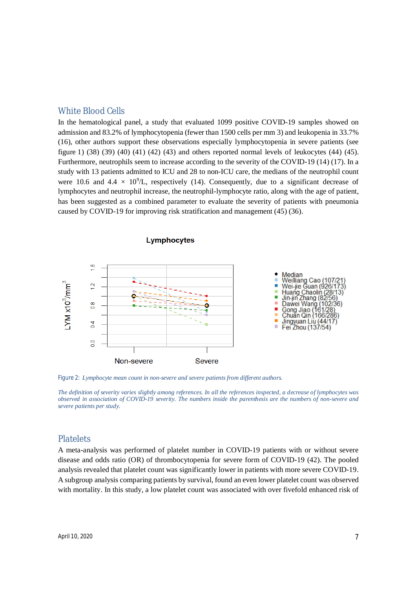### White Blood Cells

In the hematological panel, a study that evaluated 1099 positive COVID-19 samples showed on admission and 83.2% of lymphocytopenia (fewer than 1500 cells per mm 3) and leukopenia in 33.7% (16), other authors support these observations especially lymphocytopenia in severe patients (see figure 1) (38) (39) (40) (41) (42) (43) and others reported normal levels of leukocytes (44) (45). Furthermore, neutrophils seem to increase according to the severity of the COVID-19 (14) (17). In a study with 13 patients admitted to ICU and 28 to non-ICU care, the medians of the neutrophil count were 10.6 and  $4.4 \times 10^9$ /L, respectively (14). Consequently, due to a significant decrease of lymphocytes and neutrophil increase, the neutrophil-lymphocyte ratio, along with the age of patient, has been suggested as a combined parameter to evaluate the severity of patients with pneumonia caused by COVID-19 for improving risk stratification and management (45) (36).



*Figure 2: Lymphocyte mean count in non-severe and severe patients from different authors.* 

*The definition of severity varies slightly among references. In all the references inspected, a decrease of lymphocytes was observed in association of COVID-19 severity. The numbers inside the parenthesis are the numbers of non-severe and severe patients per study.*

#### **Platelets**

A meta-analysis was performed of platelet number in COVID-19 patients with or without severe disease and odds ratio (OR) of thrombocytopenia for severe form of COVID-19 (42). The pooled analysis revealed that platelet count was significantly lower in patients with more severe COVID-19. A subgroup analysis comparing patients by survival, found an even lower platelet count was observed with mortality. In this study, a low platelet count was associated with over fivefold enhanced risk of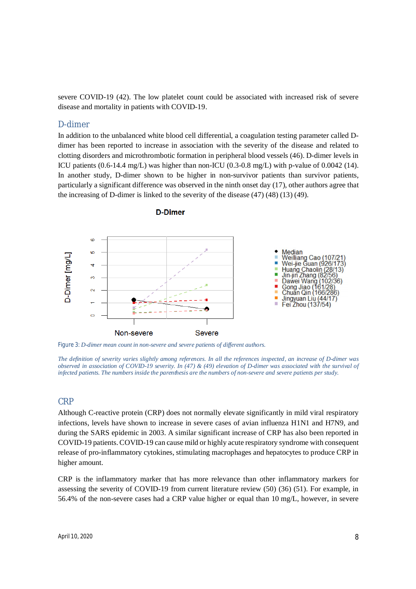severe COVID-19 (42). The low platelet count could be associated with increased risk of severe disease and mortality in patients with COVID-19.

### D-dimer

In addition to the unbalanced white blood cell differential, a coagulation testing parameter called Ddimer has been reported to increase in association with the severity of the disease and related to clotting disorders and microthrombotic formation in peripheral blood vessels (46). D-dimer levels in ICU patients  $(0.6-14.4 \text{ mg/L})$  was higher than non-ICU  $(0.3-0.8 \text{ mg/L})$  with p-value of 0.0042 (14). In another study, D-dimer shown to be higher in non-survivor patients than survivor patients, particularly a significant difference was observed in the ninth onset day (17), other authors agree that the increasing of D-dimer is linked to the severity of the disease (47) (48) (13) (49).



**D-Dimer** 

*Figure 3: D-dimer mean count in non-severe and severe patients of different authors.* 

*The definition of severity varies slightly among references. In all the references inspected, an increase of D-dimer was observed in association of COVID-19 severity. In (47) & (49) elevation of D-dimer was associated with the survival of infected patients. The numbers inside the parenthesis are the numbers of non-severe and severe patients per study.*

## CRP

Although C-reactive protein (CRP) does not normally elevate significantly in mild viral respiratory infections, levels have shown to increase in severe cases of avian influenza H1N1 and H7N9, and during the SARS epidemic in 2003. A similar significant increase of CRP has also been reported in COVID-19 patients.COVID-19 can cause mild or highly acute respiratory syndrome with consequent release of pro-inflammatory cytokines, stimulating macrophages and hepatocytes to produce CRP in higher amount.

CRP is the inflammatory marker that has more relevance than other inflammatory markers for assessing the severity of COVID-19 from current literature review (50) (36) (51). For example, in 56.4% of the non-severe cases had a CRP value higher or equal than 10 mg/L, however, in severe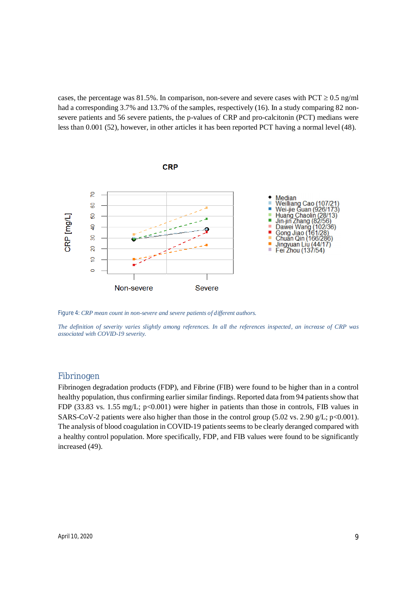cases, the percentage was 81.5%. In comparison, non-severe and severe cases with PCT  $\geq$  0.5 ng/ml had a corresponding 3.7% and 13.7% of the samples, respectively (16). In a study comparing 82 nonsevere patients and 56 severe patients, the p-values of CRP and pro-calcitonin (PCT) medians were less than 0.001 (52), however, in other articles it has been reported PCT having a normal level (48).



*Figure 4: CRP mean count in non-severe and severe patients of different authors.* 

*The definition of severity varies slightly among references. In all the references inspected, an increase of CRP was associated with COVID-19 severity.*

### Fibrinogen

Fibrinogen degradation products (FDP), and Fibrine (FIB) were found to be higher than in a control healthy population, thus confirming earlier similar findings. Reported data from 94 patients show that FDP (33.83 vs. 1.55 mg/L; p<0.001) were higher in patients than those in controls, FIB values in SARS-CoV-2 patients were also higher than those in the control group (5.02 vs. 2.90 g/L; p<0.001). The analysis of blood coagulation in COVID-19 patients seems to be clearly deranged compared with a healthy control population. More specifically, FDP, and FIB values were found to be significantly increased (49).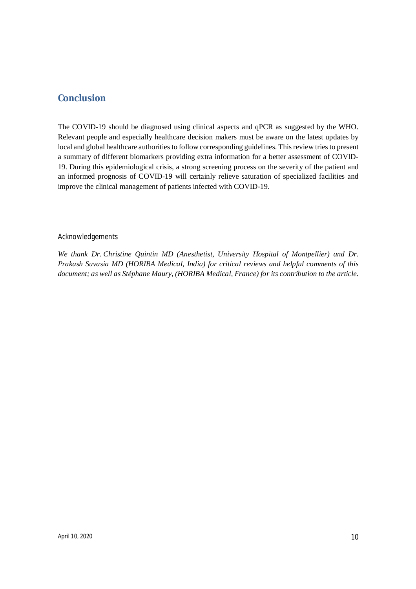# **Conclusion**

The COVID-19 should be diagnosed using clinical aspects and qPCR as suggested by the WHO. Relevant people and especially healthcare decision makers must be aware on the latest updates by local and global healthcare authorities to follow corresponding guidelines. This review tries to present a summary of different biomarkers providing extra information for a better assessment of COVID-19. During this epidemiological crisis, a strong screening process on the severity of the patient and an informed prognosis of COVID-19 will certainly relieve saturation of specialized facilities and improve the clinical management of patients infected with COVID-19.

### Acknowledgements

*We thank Dr. Christine Quintin MD (Anesthetist, University Hospital of Montpellier) and Dr. Prakash Suvasia MD (HORIBA Medical, India) for critical reviews and helpful comments of this document; as well as Stéphane Maury, (HORIBA Medical, France) for its contribution to the article.*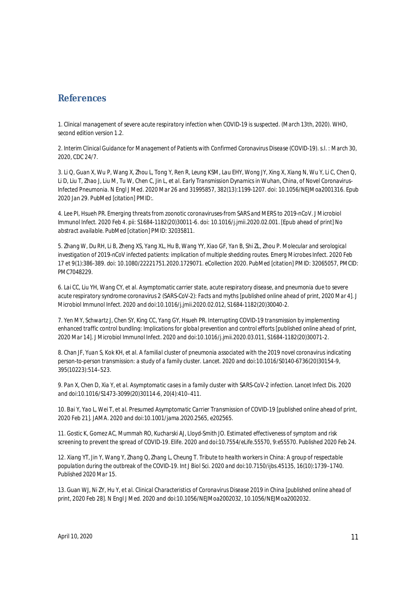## **References**

1. *Clinical management of severe acute respiratory infection when COVID-19 is suspected. (March 13th, 2020). WHO, second edition version 1.2.*

*2. Interim Clinical Guidance for Management of Patients with Confirmed Coronavirus Disease (COVID-19). s.l. : March 30, 2020, CDC 24/7.*

*3. Li Q, Guan X, Wu P, Wang X, Zhou L, Tong Y, Ren R, Leung KSM, Lau EHY, Wong JY, Xing X, Xiang N, Wu Y, Li C, Chen Q, Li D, Liu T, Zhao J, Liu M, Tu W, Chen C, Jin L, et al. Early Transmission Dynamics in Wuhan, China, of Novel Coronavirus-Infected Pneumonia. N Engl J Med. 2020 Mar 26 and 31995857, 382(13):1199-1207. doi: 10.1056/NEJMoa2001316. Epub 2020 Jan 29. PubMed [citation] PMID:.* 

*4. Lee PI, Hsueh PR. Emerging threats from zoonotic coronaviruses-from SARS and MERS to 2019-nCoV. J Microbiol Immunol Infect. 2020 Feb 4. pii: S1684-1182(20)30011-6. doi: 10.1016/j.jmii.2020.02.001. [Epub ahead of print] No abstract available. PubMed [citation] PMID: 32035811.* 

*5. Zhang W, Du RH, Li B, Zheng XS, Yang XL, Hu B, Wang YY, Xiao GF, Yan B, Shi ZL, Zhou P. Molecular and serological investigation of 2019-nCoV infected patients: implication of multiple shedding routes. Emerg Microbes Infect. 2020 Feb 17 et 9(1):386-389. doi: 10.1080/22221751.2020.1729071. eCollection 2020. PubMed [citation] PMID: 32065057, PMCID: PMC7048229.* 

*6. Lai CC, Liu YH, Wang CY, et al. Asymptomatic carrier state, acute respiratory disease, and pneumonia due to severe acute respiratory syndrome coronavirus 2 (SARS-CoV-2): Facts and myths [published online ahead of print, 2020 Mar 4]. J Microbiol Immunol Infect. 2020 and doi:10.1016/j.jmii.2020.02.012, S1684-1182(20)30040-2.* 

*7. Yen MY, Schwartz J, Chen SY, King CC, Yang GY, Hsueh PR. Interrupting COVID-19 transmission by implementing enhanced traffic control bundling: Implications for global prevention and control efforts [published online ahead of print, 2020 Mar 14]. J Microbiol Immunol Infect. 2020 and doi:10.1016/j.jmii.2020.03.011, S1684-1182(20)30071-2.* 

*8. Chan JF, Yuan S, Kok KH, et al. A familial cluster of pneumonia associated with the 2019 novel coronavirus indicating person-to-person transmission: a study of a family cluster. Lancet. 2020 and doi:10.1016/S0140-6736(20)30154-9, 395(10223):514–523.* 

*9. Pan X, Chen D, Xia Y, et al. Asymptomatic cases in a family cluster with SARS-CoV-2 infection. Lancet Infect Dis. 2020 and doi:10.1016/S1473-3099(20)30114-6, 20(4):410–411.* 

*10. Bai Y, Yao L, Wei T, et al. Presumed Asymptomatic Carrier Transmission of COVID-19 [published online ahead of print, 2020 Feb 21]. JAMA. 2020 and doi:10.1001/jama.2020.2565, e202565.* 

*11. Gostic K, Gomez AC, Mummah RO, Kucharski AJ, Lloyd-Smith JO. Estimated effectiveness of symptom and risk screening to prevent the spread of COVID-19. Elife. 2020 and doi:10.7554/eLife.55570, 9:e55570. Published 2020 Feb 24.* 

*12. Xiang YT, Jin Y, Wang Y, Zhang Q, Zhang L, Cheung T. Tribute to health workers in China: A group of respectable population during the outbreak of the COVID-19. Int J Biol Sci. 2020 and doi:10.7150/ijbs.45135, 16(10):1739–1740. Published 2020 Mar 15.* 

13. Guan WJ, Ni ZY, Hu Y, et al. Clinical Characteristics of Coronavirus Disease 2019 in China [published online ahead of *print, 2020 Feb 28]. N Engl J Med. 2020 and doi:10.1056/NEJMoa2002032, 10.1056/NEJMoa2002032.*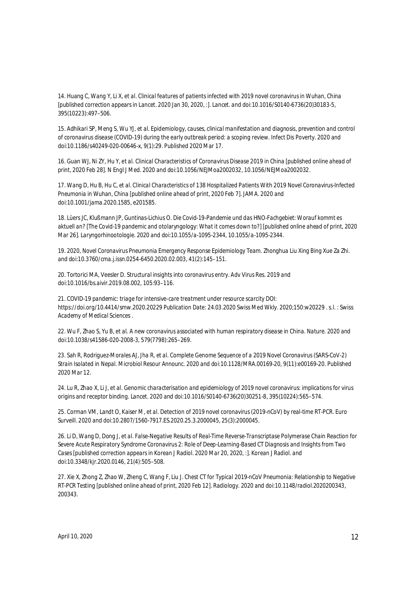*14. Huang C, Wang Y, Li X, et al. Clinical features of patients infected with 2019 novel coronavirus in Wuhan, China [published correction appears in Lancet. 2020 Jan 30, 2020, :]. Lancet. and doi:10.1016/S0140-6736(20)30183-5, 395(10223):497–506.* 

*15. Adhikari SP, Meng S, Wu YJ, et al. Epidemiology, causes, clinical manifestation and diagnosis, prevention and control of coronavirus disease (COVID-19) during the early outbreak period: a scoping review. Infect Dis Poverty. 2020 and doi:10.1186/s40249-020-00646-x, 9(1):29. Published 2020 Mar 17.* 

*16. Guan WJ, Ni ZY, Hu Y, et al. Clinical Characteristics of Coronavirus Disease 2019 in China [published online ahead of print, 2020 Feb 28]. N Engl J Med. 2020 and doi:10.1056/NEJMoa2002032, 10.1056/NEJMoa2002032.* 

*17. Wang D, Hu B, Hu C, et al. Clinical Characteristics of 138 Hospitalized Patients With 2019 Novel Coronavirus-Infected Pneumonia in Wuhan, China [published online ahead of print, 2020 Feb 7]. JAMA. 2020 and doi:10.1001/jama.2020.1585, e201585.* 

*18. Lüers JC, Klußmann JP, Guntinas-Lichius O. Die Covid-19-Pandemie und das HNO-Fachgebiet: Worauf kommt es aktuell an? [The Covid-19 pandemic and otolaryngology: What it comes down to?] [published online ahead of print, 2020 Mar 26]. Laryngorhinootologie. 2020 and doi:10.1055/a-1095-2344, 10.1055/a-1095-2344.* 

*19. 2020, Novel Coronavirus Pneumonia Emergency Response Epidemiology Team. Zhonghua Liu Xing Bing Xue Za Zhi. and doi:10.3760/cma.j.issn.0254-6450.2020.02.003, 41(2):145–151.* 

*20. Tortorici MA, Veesler D. Structural insights into coronavirus entry. Adv Virus Res. 2019 and doi:10.1016/bs.aivir.2019.08.002, 105:93–116.* 

*21. COVID-19 pandemic: triage for intensive-care treatment under resource scarcity DOI: https://doi.org/10.4414/smw.2020.20229 Publication Date: 24.03.2020 Swiss Med Wkly. 2020;150:w20229 . s.l. : Swiss Academy of Medical Sciences .*

*22. Wu F, Zhao S, Yu B, et al. A new coronavirus associated with human respiratory disease in China. Nature. 2020 and doi:10.1038/s41586-020-2008-3, 579(7798):265–269.* 

*23. Sah R, Rodriguez-Morales AJ, Jha R, et al. Complete Genome Sequence of a 2019 Novel Coronavirus (SARS-CoV-2) Strain Isolated in Nepal. Microbiol Resour Announc. 2020 and doi:10.1128/MRA.00169-20, 9(11):e00169-20. Published 2020 Mar 12.* 

*24. Lu R, Zhao X, Li J, et al. Genomic characterisation and epidemiology of 2019 novel coronavirus: implications for virus origins and receptor binding. Lancet. 2020 and doi:10.1016/S0140-6736(20)30251-8, 395(10224):565–574.* 

*25. Corman VM, Landt O, Kaiser M, et al. Detection of 2019 novel coronavirus (2019-nCoV) by real-time RT-PCR. Euro Surveill. 2020 and doi:10.2807/1560-7917.ES.2020.25.3.2000045, 25(3):2000045.* 

*26. Li D, Wang D, Dong J, et al. False-Negative Results of Real-Time Reverse-Transcriptase Polymerase Chain Reaction for Severe Acute Respiratory Syndrome Coronavirus 2: Role of Deep-Learning-Based CT Diagnosis and Insights from Two*  Cases [published correction appears in Korean J Radiol. 2020 Mar 20, 2020, :]. Korean J Radiol. and *doi:10.3348/kjr.2020.0146, 21(4):505–508.* 

*27. Xie X, Zhong Z, Zhao W, Zheng C, Wang F, Liu J. Chest CT for Typical 2019-nCoV Pneumonia: Relationship to Negative RT-PCR Testing [published online ahead of print, 2020 Feb 12]. Radiology. 2020 and doi:10.1148/radiol.2020200343, 200343.*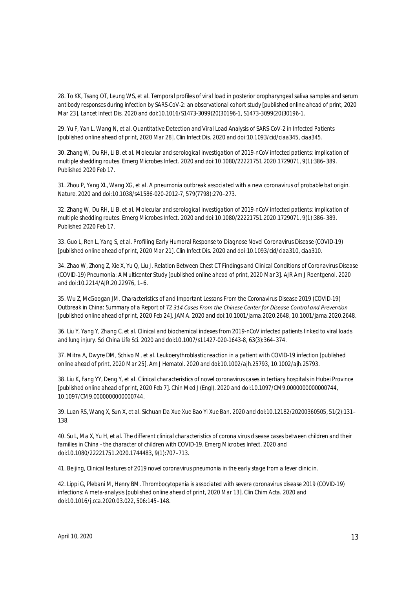*28. To KK, Tsang OT, Leung WS, et al. Temporal profiles of viral load in posterior oropharyngeal saliva samples and serum antibody responses during infection by SARS-CoV-2: an observational cohort study [published online ahead of print, 2020 Mar 23]. Lancet Infect Dis. 2020 and doi:10.1016/S1473-3099(20)30196-1, S1473-3099(20)30196-1.* 

*29. Yu F, Yan L, Wang N, et al. Quantitative Detection and Viral Load Analysis of SARS-CoV-2 in Infected Patients [published online ahead of print, 2020 Mar 28]. Clin Infect Dis. 2020 and doi:10.1093/cid/ciaa345, ciaa345.* 

*30. Zhang W, Du RH, Li B, et al. Molecular and serological investigation of 2019-nCoV infected patients: implication of multiple shedding routes. Emerg Microbes Infect. 2020 and doi:10.1080/22221751.2020.1729071, 9(1):386–389. Published 2020 Feb 17.* 

*31. Zhou P, Yang XL, Wang XG, et al. A pneumonia outbreak associated with a new coronavirus of probable bat origin. Nature. 2020 and doi:10.1038/s41586-020-2012-7, 579(7798):270–273.* 

32. Zhang W, Du RH, Li B, et al. Molecular and serological investigation of 2019-nCoV infected patients: implication of *multiple shedding routes. Emerg Microbes Infect. 2020 and doi:10.1080/22221751.2020.1729071, 9(1):386–389. Published 2020 Feb 17.* 

*33. Guo L, Ren L, Yang S, et al. Profiling Early Humoral Response to Diagnose Novel Coronavirus Disease (COVID-19) [published online ahead of print, 2020 Mar 21]. Clin Infect Dis. 2020 and doi:10.1093/cid/ciaa310, ciaa310.* 

*34. Zhao W, Zhong Z, Xie X, Yu Q, Liu J. Relation Between Chest CT Findings and Clinical Conditions of Coronavirus Disease (COVID-19) Pneumonia: A Multicenter Study [published online ahead of print, 2020 Mar 3]. AJR Am J Roentgenol. 2020 and doi:10.2214/AJR.20.22976, 1–6.* 

*35. Wu Z, McGoogan JM. Characteristics of and Important Lessons From the Coronavirus Disease 2019 (COVID-19) Outbreak in China: Summary of a Report of 72 314 Cases From the Chinese Center for Disease Control and Prevention [published online ahead of print, 2020 Feb 24]. JAMA. 2020 and doi:10.1001/jama.2020.2648, 10.1001/jama.2020.2648.* 

*36. Liu Y, Yang Y, Zhang C, et al. Clinical and biochemical indexes from 2019-nCoV infected patients linked to viral loads and lung injury. Sci China Life Sci. 2020 and doi:10.1007/s11427-020-1643-8, 63(3):364–374.* 

37. Mitra A, Dwyre DM, Schivo M, et al. Leukoerythroblastic reaction in a patient with COVID-19 infection [published *online ahead of print, 2020 Mar 25]. Am J Hematol. 2020 and doi:10.1002/ajh.25793, 10.1002/ajh.25793.* 

*38. Liu K, Fang YY, Deng Y, et al. Clinical characteristics of novel coronavirus cases in tertiary hospitals in Hubei Province [published online ahead of print, 2020 Feb 7]. Chin Med J (Engl). 2020 and doi:10.1097/CM9.0000000000000744, 10.1097/CM9.0000000000000744.* 

*39. Luan RS, Wang X, Sun X, et al. Sichuan Da Xue Xue Bao Yi Xue Ban. 2020 and doi:10.12182/20200360505, 51(2):131– 138.* 

*40. Su L, Ma X, Yu H, et al. The different clinical characteristics of corona virus disease cases between children and their families in China - the character of children with COVID-19. Emerg Microbes Infect. 2020 and doi:10.1080/22221751.2020.1744483, 9(1):707–713.* 

*41. Beijing, Clinical features of 2019 novel coronavirus pneumonia in the early stage from a fever clinic in.* 

*42. Lippi G, Plebani M, Henry BM. Thrombocytopenia is associated with severe coronavirus disease 2019 (COVID-19) infections: A meta-analysis [published online ahead of print, 2020 Mar 13]. Clin Chim Acta. 2020 and doi:10.1016/j.cca.2020.03.022, 506:145–148.*